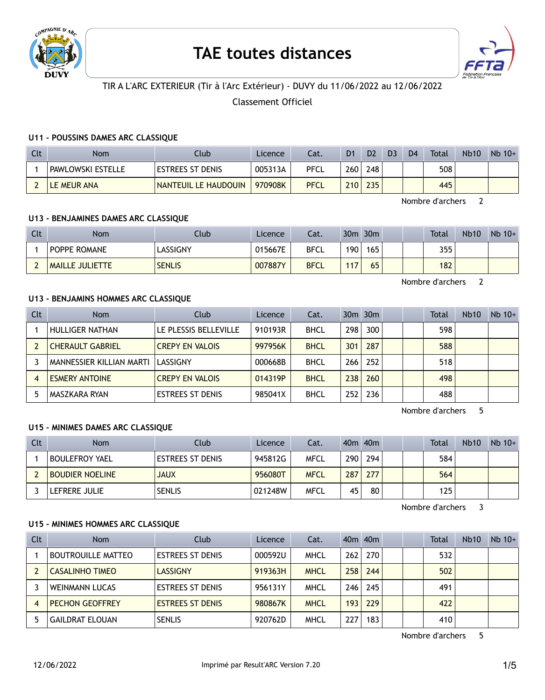

# **TAE toutes distances**



# TIR A L'ARC EXTERIEUR (Tir à l'Arc Extérieur) - DUVY du 11/06/2022 au 12/06/2022

Classement Officiel

## **U11 - POUSSINS DAMES ARC CLASSIQUE**

| Clt | Nom                      | Club                    | <b>Licence</b> | Cat.        | D <sub>1</sub> | D <sub>2</sub> | D <sub>3</sub> | D <sub>4</sub> | Total | <b>Nb10</b> | $Nb$ 10+ |
|-----|--------------------------|-------------------------|----------------|-------------|----------------|----------------|----------------|----------------|-------|-------------|----------|
|     | <b>PAWLOWSKI ESTELLE</b> | <b>ESTREES ST DENIS</b> | 005313A        | <b>PFCL</b> | 260            | 248            |                |                | 508   |             |          |
|     | LE MEUR ANA              | NANTEUIL LE HAUDOUIN    | 970908K        | <b>PFCL</b> | 210            | 235            |                |                | 445   |             |          |

Nombre d'archers 2

## **U13 - BENJAMINES DAMES ARC CLASSIQUE**

| Clt | <b>Nom</b>             | Club          | Licence | Cat.        | 30 <sub>m</sub> | 30 <sub>m</sub> |  | <b>Total</b> | <b>Nb10</b> | $Nb 10+$ |
|-----|------------------------|---------------|---------|-------------|-----------------|-----------------|--|--------------|-------------|----------|
|     | <b>POPPE ROMANE</b>    | LASSIGNY      | 015667E | <b>BFCL</b> | 190             | 165             |  | 355          |             |          |
|     | <b>MAILLE JULIETTE</b> | <b>SENLIS</b> | 007887Y | <b>BFCL</b> | 117             | 65              |  | 182          |             |          |

Nombre d'archers 2

# **U13 - BENJAMINS HOMMES ARC CLASSIQUE**

| Clt | <b>Nom</b>               | Club                    | Licence | Cat.        |       | 30m 30m |  | Total | <b>Nb10</b> | $Nb$ 10+ |
|-----|--------------------------|-------------------------|---------|-------------|-------|---------|--|-------|-------------|----------|
|     | HULLIGER NATHAN          | LE PLESSIS BELLEVILLE   | 910193R | <b>BHCL</b> | 298 l | 300     |  | 598   |             |          |
|     | <b>CHERAULT GABRIEL</b>  | <b>CREPY EN VALOIS</b>  | 997956K | <b>BHCL</b> | 301   | 287     |  | 588   |             |          |
|     | MANNESSIER KILLIAN MARTI | LASSIGNY                | 000668B | <b>BHCL</b> | 266 l | 252     |  | 518   |             |          |
| 4   | <b>ESMERY ANTOINE</b>    | <b>CREPY EN VALOIS</b>  | 014319P | <b>BHCL</b> | 238 I | 260     |  | 498   |             |          |
|     | MASZKARA RYAN            | <b>ESTREES ST DENIS</b> | 985041X | <b>BHCL</b> | 252   | 236     |  | 488   |             |          |

Nombre d'archers 5

## **U15 - MINIMES DAMES ARC CLASSIQUE**

| Clt | <b>Nom</b>             | Club                    | Licence | Cat.        |     | 40m 40m |  | Total | <b>Nb10</b> | $Nb$ 10+ |
|-----|------------------------|-------------------------|---------|-------------|-----|---------|--|-------|-------------|----------|
|     | <b>BOULEFROY YAEL</b>  | <b>ESTREES ST DENIS</b> | 945812G | MFCL        | 290 | 294     |  | 584   |             |          |
|     | <b>BOUDIER NOELINE</b> | <b>JAUX</b>             | 956080T | <b>MFCL</b> | 287 | 277     |  | 564   |             |          |
|     | LEFRERE JULIE          | <b>SENLIS</b>           | 021248W | <b>MFCL</b> | 45  | 80      |  | 125   |             |          |

Nombre d'archers 3

## **U15 - MINIMES HOMMES ARC CLASSIQUE**

| Clt | <b>Nom</b>                | Club                    | Licence | Cat.        |     | 40 <sub>m</sub> 40 <sub>m</sub> |  | <b>Total</b> | <b>Nb10</b> | $Nb$ 10+ |
|-----|---------------------------|-------------------------|---------|-------------|-----|---------------------------------|--|--------------|-------------|----------|
|     | <b>BOUTROUILLE MATTEO</b> | <b>ESTREES ST DENIS</b> | 000592U | <b>MHCL</b> | 262 | 270                             |  | 532          |             |          |
|     | <b>CASALINHO TIMEO</b>    | <b>LASSIGNY</b>         | 919363H | <b>MHCL</b> | 258 | 244                             |  | 502          |             |          |
|     | <b>WEINMANN LUCAS</b>     | <b>ESTREES ST DENIS</b> | 956131Y | <b>MHCL</b> | 246 | 245                             |  | 491          |             |          |
|     | <b>PECHON GEOFFREY</b>    | <b>ESTREES ST DENIS</b> | 980867K | <b>MHCL</b> | 193 | 229                             |  | 422          |             |          |
|     | <b>GAILDRAT ELOUAN</b>    | <b>SENLIS</b>           | 920762D | MHCL        | 227 | 183                             |  | 410          |             |          |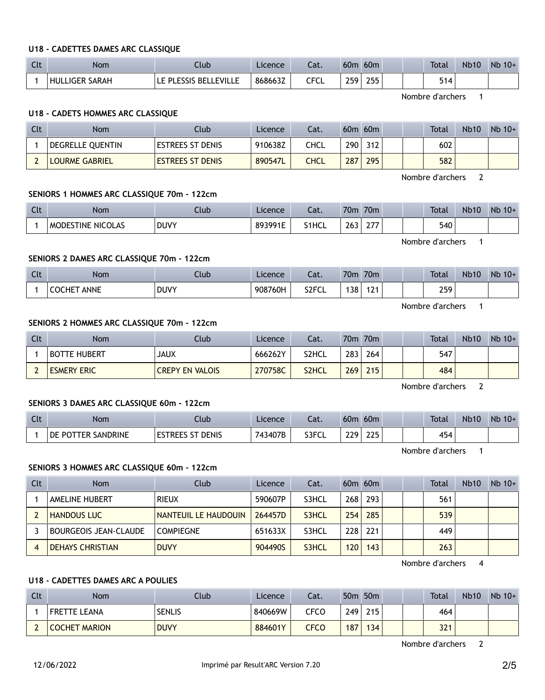# **U18 - CADETTES DAMES ARC CLASSIQUE**

| C14<br>ાા | Nom                      | Ilub                            | Licence | cal.                 | 60 <sub>m</sub> | 60 <sub>m</sub> |  | <b>Total</b> | <b>Nb10</b> | Nb<br>$10+$ |
|-----------|--------------------------|---------------------------------|---------|----------------------|-----------------|-----------------|--|--------------|-------------|-------------|
|           | SARAH<br>I IGER<br>HH II | LE PLESSIS BEL<br><b>FVILLE</b> | 868663Z | <b>CECI</b><br>しー しし | 250             | 255             |  | C A<br>514   |             |             |

Nombre d'archers 1

# **U18 - CADETS HOMMES ARC CLASSIQUE**

| Clt | <b>Nom</b>            | Club                    | Licence | Cat. | 60m | 60m |  | Total | <b>Nb10</b> | $Nb$ 10+ |
|-----|-----------------------|-------------------------|---------|------|-----|-----|--|-------|-------------|----------|
|     | DEGRELLE QUENTIN      | <b>ESTREES ST DENIS</b> | 910638Z | CHCL | 290 | 312 |  | 602   |             |          |
|     | <b>LOURME GABRIEL</b> | <b>ESTREES ST DENIS</b> | 890547L | CHCL | 287 | 295 |  | 582   |             |          |

Nombre d'archers 2

## **SENIORS 1 HOMMES ARC CLASSIQUE 70m - 122cm**

| Clt | Nom                       | Club        | Licence | ົ <del>ດ t</del><br>-dl. | 70 <sub>m</sub> | 70 <sub>m</sub>   |  | <b>Total</b> | <b>Nb10</b> | Nb<br>$10+$ |
|-----|---------------------------|-------------|---------|--------------------------|-----------------|-------------------|--|--------------|-------------|-------------|
|     | <b>IMODESTINE NICOLAS</b> | <b>DUVY</b> | 893991E | S1HCL                    | 263             | っっっ<br><u> 21</u> |  | 540          |             |             |

Nombre d'archers 1

# **SENIORS 2 DAMES ARC CLASSIQUE 70m - 122cm**

| Clt | <b>Nom</b>                   | Club        | Licence | .<br>.<br>cal.     | 70m | 70 <sub>m</sub> |  | <b>Total</b>  | <b>Nb10</b> | Nb<br>$10+$ |
|-----|------------------------------|-------------|---------|--------------------|-----|-----------------|--|---------------|-------------|-------------|
|     | <b>ANNE</b><br><b>COCHET</b> | <b>DUVY</b> | 908760H | S <sub>2</sub> FCL | 138 | ៲ា៲<br>í Ł      |  | 259<br>$\sim$ |             |             |

Nombre d'archers 1

## **SENIORS 2 HOMMES ARC CLASSIQUE 70m - 122cm**

| Clt | Nom                 | Club                   | Licence | Cat.  | 70 <sub>m</sub> | 70 <sub>m</sub> |  | Total | <b>Nb10</b> | $Nb 10+$ |
|-----|---------------------|------------------------|---------|-------|-----------------|-----------------|--|-------|-------------|----------|
|     | <b>BOTTE HUBERT</b> | JAUX                   | 666262Y | S2HCL | 283             | 264             |  | 547   |             |          |
|     | <b>ESMERY ERIC</b>  | <b>CREPY EN VALOIS</b> | 270758C | S2HCL | 269             | 215             |  | 484   |             |          |

Nombre d'archers 2

#### **SENIORS 3 DAMES ARC CLASSIQUE 60m - 122cm**

| Clt | Nom                                | Club                             | Licence      | - 1<br>cal. | 60n        | 60 <sub>m</sub> |  | <b>Total</b> | <b>Nb10</b> | <b>N<sub>b</sub></b><br>$10+$ |
|-----|------------------------------------|----------------------------------|--------------|-------------|------------|-----------------|--|--------------|-------------|-------------------------------|
|     | <b>SANDRINE</b><br>DE<br>POT<br>-- | <b>DENIS</b><br><b>REES</b><br>د | 3407B<br>743 | S3FCL       | ה בר<br>∸∸ | つつに<br>ᅩᅩ       |  | . .<br>434   |             |                               |

Nombre d'archers 1

## **SENIORS 3 HOMMES ARC CLASSIQUE 60m - 122cm**

| Clt | <b>Nom</b>                   | Club                 | Licence | Cat.  |     | $60m$ $60m$ |  | Total | <b>Nb10</b> | $Nb$ 10+ |
|-----|------------------------------|----------------------|---------|-------|-----|-------------|--|-------|-------------|----------|
|     | <b>AMELINE HUBERT</b>        | RIEUX                | 590607P | S3HCL | 268 | 293         |  | 561   |             |          |
|     | <b>HANDOUS LUC</b>           | NANTEUIL LE HAUDOUIN | 264457D | S3HCL | 254 | 285         |  | 539   |             |          |
|     | <b>BOURGEOIS JEAN-CLAUDE</b> | <b>COMPIEGNE</b>     | 651633X | S3HCL | 228 | 221         |  | 449   |             |          |
|     | <b>DEHAYS CHRISTIAN</b>      | <b>DUVY</b>          | 904490S | S3HCL | 120 | 143         |  | 263   |             |          |

Nombre d'archers 4

# **U18 - CADETTES DAMES ARC A POULIES**

| Clt | Nom                  | Club          | Licence | Cat. |                  | 50 <sub>m</sub> 50 <sub>m</sub> |  | <b>Total</b> | <b>Nb10</b> | $Nb$ 10+ |
|-----|----------------------|---------------|---------|------|------------------|---------------------------------|--|--------------|-------------|----------|
|     | <b>FRETTE LEANA</b>  | <b>SENLIS</b> | 840669W | CFCO | 249              | 215                             |  | 464          |             |          |
|     | <b>COCHET MARION</b> | <b>DUVY</b>   | 884601Y | CFCO | 187 <sub>1</sub> | 134                             |  | 321          |             |          |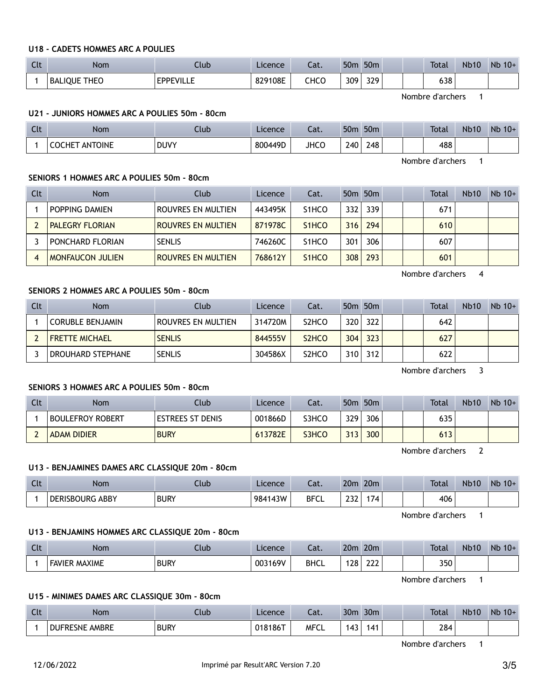## **U18 - CADETS HOMMES ARC A POULIES**

| $\sim$<br>ิเเ | <b>Nom</b>               | Club             | Licence | Cat. | 50 <sub>m</sub> | 50 <sub>m</sub> |  | <b>Total</b> | <b>Nb10</b> | <b>N<sub>b</sub></b><br>$10+$ |
|---------------|--------------------------|------------------|---------|------|-----------------|-----------------|--|--------------|-------------|-------------------------------|
|               | : THEO<br><b>BALIOUE</b> | <b>EPPEVILLE</b> | 829108E | снсо | 309             | 329             |  | 638          |             |                               |

Nombre d'archers 1

#### **U21 - JUNIORS HOMMES ARC A POULIES 50m - 80cm**

| Clt | <b>Nom</b>               | Club        | Licence | $\sim$<br>Cal. | 50 <sub>m</sub> | 50 <sub>m</sub> |  | <b>Total</b> | <b>Nb10</b> | <b>Nb</b><br>$10+$ |
|-----|--------------------------|-------------|---------|----------------|-----------------|-----------------|--|--------------|-------------|--------------------|
|     | ANTOINE<br><b>COCHET</b> | <b>DUVY</b> | 800449D | <b>JHCC</b>    | 240             | 248             |  | 488          |             |                    |

Nombre d'archers 1

## **SENIORS 1 HOMMES ARC A POULIES 50m - 80cm**

| Clt | <b>Nom</b>              | Club               | Licence | Cat.               |     | 50 <sub>m</sub> 50 <sub>m</sub> |  | Total | <b>Nb10</b> | $Nb$ 10+ |
|-----|-------------------------|--------------------|---------|--------------------|-----|---------------------------------|--|-------|-------------|----------|
|     | POPPING DAMIEN          | ROUVRES EN MULTIEN | 443495K | S <sub>1</sub> HCO | 332 | 339                             |  | 671   |             |          |
|     | <b>PALEGRY FLORIAN</b>  | ROUVRES EN MULTIEN | 871978C | S <sub>1</sub> HCO | 316 | 294                             |  | 610   |             |          |
|     | PONCHARD FLORIAN        | <b>SENLIS</b>      | 746260C | S <sub>1</sub> HCO | 301 | 306                             |  | 607   |             |          |
|     | <b>MONFAUCON JULIEN</b> | ROUVRES EN MULTIEN | 768612Y | S <sub>1</sub> HCO | 308 | 293                             |  | 601   |             |          |

Nombre d'archers 4

# **SENIORS 2 HOMMES ARC A POULIES 50m - 80cm**

| Clt | Nom                     | Club               | Licence | Cat.                           |     | 50 <sub>m</sub> 50 <sub>m</sub> |  | Total | <b>Nb10</b> | $Nb$ 10+ |
|-----|-------------------------|--------------------|---------|--------------------------------|-----|---------------------------------|--|-------|-------------|----------|
|     | <b>CORUBLE BENJAMIN</b> | ROUVRES EN MULTIEN | 314720M | S <sub>2</sub> HCO             | 320 | 322                             |  | 642   |             |          |
|     | <b>FRETTE MICHAEL</b>   | <b>SENLIS</b>      | 844555V | S <sub>2</sub> H <sub>CO</sub> | 304 | 323                             |  | 627   |             |          |
|     | DROUHARD STEPHANE       | <b>SENLIS</b>      | 304586X | S <sub>2</sub> HCO             | 310 | 312                             |  | 622   |             |          |

Nombre d'archers 3

## **SENIORS 3 HOMMES ARC A POULIES 50m - 80cm**

| Clt | Nom                     | Club                    | Licence | Cat.  |     | 50 <sub>m</sub> 50 <sub>m</sub> |  | Total | <b>Nb10</b> | $Nb$ 10+ |
|-----|-------------------------|-------------------------|---------|-------|-----|---------------------------------|--|-------|-------------|----------|
|     | <b>BOULEFROY ROBERT</b> | <b>ESTREES ST DENIS</b> | 001866D | S3HCO | 329 | 306                             |  | 635   |             |          |
|     | <b>ADAM DIDIER</b>      | <b>BURY</b>             | 613782E | S3HCO | 313 | 300                             |  | 613   |             |          |

Nombre d'archers 2

## **U13 - BENJAMINES DAMES ARC CLASSIQUE 20m - 80cm**

| C14<br>. | Nom                    | Ilub        | Licence | Cat.        | 20m        | 20 <sub>m</sub> |  | <b>Total</b> | <b>Nb10</b> | Nb<br>$10+$ |
|----------|------------------------|-------------|---------|-------------|------------|-----------------|--|--------------|-------------|-------------|
|          | <b>DERISBOURG ABBY</b> | <b>BURY</b> | 984143W | <b>BFCL</b> | າາາ<br>LJL | 174             |  | 406          |             |             |

Nombre d'archers 1

#### **U13 - BENJAMINS HOMMES ARC CLASSIQUE 20m - 80cm**

| $\sim$<br>$\sim$ | Nom                           | .lub        | Licence | $\sim$<br>-dl. | 20m | 20 <sub>m</sub> |  | Total | <b>Nb10</b> | Nb<br>$10+$ |
|------------------|-------------------------------|-------------|---------|----------------|-----|-----------------|--|-------|-------------|-------------|
|                  | <b>MAXIME</b><br><b>EAVIF</b> | <b>BURY</b> | 003169V | <b>BHCL</b>    | 128 | ີ<br>∠∠∠        |  | 350   |             |             |

Nombre d'archers 1

## **U15 - MINIMES DAMES ARC CLASSIQUE 30m - 80cm**

| <b>Clt</b> | Nom            | Jub         | Licence | $\sim$<br>cal. | 30 <sub>m</sub> | 30 <sub>m</sub> |  | <b>Total</b> | <b>Nb10</b> | <b>Nb</b><br>$10+$ |
|------------|----------------|-------------|---------|----------------|-----------------|-----------------|--|--------------|-------------|--------------------|
|            | DUFRESNE AMBRE | <b>BURY</b> | 018186T | <b>MFCL</b>    | . .             | 141             |  | 284          |             |                    |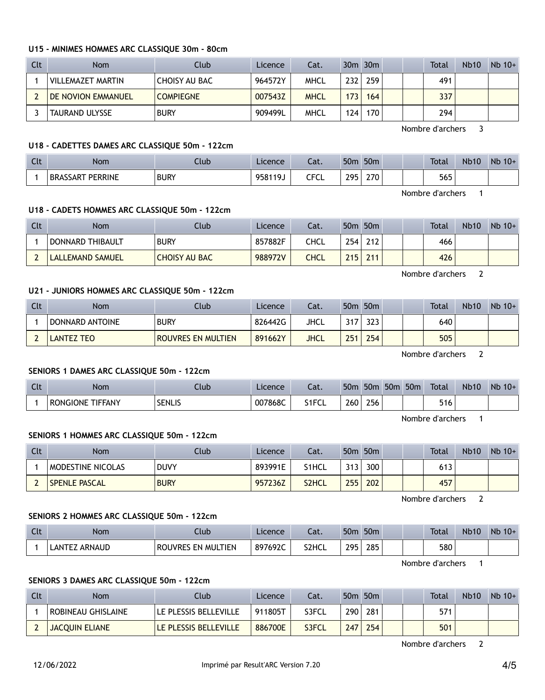#### **U15 - MINIMES HOMMES ARC CLASSIQUE 30m - 80cm**

| <b>Clt</b> | <b>Nom</b>                | Club                 | Licence | Cat.        |     | $30m$ $30m$      |  | Total | <b>Nb10</b> | $Nb$ 10+ |
|------------|---------------------------|----------------------|---------|-------------|-----|------------------|--|-------|-------------|----------|
|            | VILLEMAZET MARTIN         | <b>CHOISY AU BAC</b> | 964572Y | MHCL        | 232 | 259              |  | 491   |             |          |
|            | <b>DE NOVION EMMANUEL</b> | <b>COMPIEGNE</b>     | 007543Z | <b>MHCL</b> | 173 | 164              |  | 337   |             |          |
|            | TAURAND ULYSSE            | <b>BURY</b>          | 909499L | MHCL        | 124 | 170 <sub>1</sub> |  | 294   |             |          |

Nombre d'archers 3

## **U18 - CADETTES DAMES ARC CLASSIQUE 50m - 122cm**

| $\Gamma$<br>นเ | <b>Nom</b>                   | Jub         | Licence | $-1$<br>cal. | 50 <sub>0</sub> | 50 <sub>m</sub> |  | <b>Total</b> | <b>Nb10</b> | <b>Nb</b><br>$10+$ |
|----------------|------------------------------|-------------|---------|--------------|-----------------|-----------------|--|--------------|-------------|--------------------|
|                | PERRINE<br><b>BRA</b><br>SAR | <b>BURY</b> | 958119J | CECI<br>◡└   | 205             | ว7∩<br>21 U     |  | 565          |             |                    |

Nombre d'archers 1

#### **U18 - CADETS HOMMES ARC CLASSIQUE 50m - 122cm**

| Clt | Nom              | Club                 | Licence | Cat. |      | 50 <sub>m</sub> 50 <sub>m</sub> |  | Total | <b>Nb10</b> | $Nb$ 10+ |
|-----|------------------|----------------------|---------|------|------|---------------------------------|--|-------|-------------|----------|
|     | DONNARD THIBAULT | <b>BURY</b>          | 857882F | CHCL | 254  | 212                             |  | 466   |             |          |
|     | LALLEMAND SAMUEL | <b>CHOISY AU BAC</b> | 988972V | CHCL | 715. | 211                             |  | 426   |             |          |

Nombre d'archers 2

## **U21 - JUNIORS HOMMES ARC CLASSIQUE 50m - 122cm**

| Clt | <b>Nom</b>        | Club                      | Licence | Cat.        |     | 50 <sub>m</sub> 50 <sub>m</sub> |  | <b>Total</b> | <b>Nb10</b> | $Nb$ 10+ |
|-----|-------------------|---------------------------|---------|-------------|-----|---------------------------------|--|--------------|-------------|----------|
|     | DONNARD ANTOINE   | <b>BURY</b>               | 826442G | JHCL        |     | 323.                            |  | 640          |             |          |
|     | <b>LANTEZ TEO</b> | <b>ROUVRES EN MULTIEN</b> | 891662Y | <b>JHCL</b> | 251 | 254                             |  | 505          |             |          |

Nombre d'archers 2

#### **SENIORS 1 DAMES ARC CLASSIQUE 50m - 122cm**

| C14<br>. | Nom                        | Jub           | Licence | $\neg$<br>cal. | 50 <sub>m</sub> | 50 <sub>m</sub> | 50 <sub>0</sub> | 50 <sub>m</sub> | <b>Total</b> | <b>Nb10</b> | <b>Nb</b><br>$10+$ |
|----------|----------------------------|---------------|---------|----------------|-----------------|-----------------|-----------------|-----------------|--------------|-------------|--------------------|
|          | TIFFANY<br><b>RONGIONE</b> | <b>SENLIS</b> | 007868C | S1FCL          | 260             | 256             |                 |                 | 516          |             |                    |

Nombre d'archers 1

#### **SENIORS 1 HOMMES ARC CLASSIQUE 50m - 122cm**

| Clt | Nom                  | Club        | Licence | Cat.  | 50 <sub>m</sub>   | 50 <sub>m</sub> |  | <b>Total</b> | <b>Nb10</b> | $Nb 10+$ |
|-----|----------------------|-------------|---------|-------|-------------------|-----------------|--|--------------|-------------|----------|
|     | MODESTINE NICOLAS    | <b>DUVY</b> | 893991E | S1HCL | ว 4 ว<br><u>.</u> | 300             |  | 613          |             |          |
|     | <b>SPENLE PASCAL</b> | <b>BURY</b> | 957236Z | S2HCL | 255               | 202             |  | 457          |             |          |

Nombre d'archers 2

#### **SENIORS 2 HOMMES ARC CLASSIQUE 50m - 122cm**

| Clt | Nom.                  | Llub.                        | Licence | $\sim$<br>cal. | 50 <sub>n</sub> | 50 <sub>m</sub> |  | <b>Total</b> | <b>Nb10</b> | <b>N<sub>b</sub></b><br>$10+$ |
|-----|-----------------------|------------------------------|---------|----------------|-----------------|-----------------|--|--------------|-------------|-------------------------------|
|     | <b>ARNAUD</b><br>LANT | <b>EN MULTIEN</b><br>ROUVRES | 897692C | S2HCL          | 205             | 285             |  | 580          |             |                               |

Nombre d'archers 1

## **SENIORS 3 DAMES ARC CLASSIQUE 50m - 122cm**

| Clt | Nom                   | Club.                 | Licence | Cat.  |     | 50 <sub>m</sub> 50 <sub>m</sub> |  | <b>Total</b> | <b>Nb10</b> | $Nb$ 10+ |
|-----|-----------------------|-----------------------|---------|-------|-----|---------------------------------|--|--------------|-------------|----------|
|     | ROBINEAU GHISLAINE    | LE PLESSIS BELLEVILLE | 911805T | S3FCL | 290 | 281                             |  | 571          |             |          |
|     | <b>JACOUIN ELIANE</b> | LE PLESSIS BELLEVILLE | 886700E | S3FCL | 247 | 254                             |  | 501          |             |          |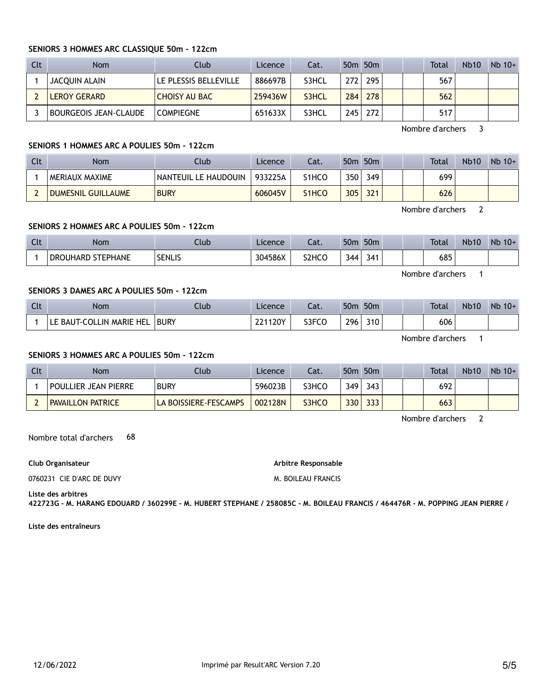# **SENIORS 3 HOMMES ARC CLASSIQUE 50m - 122cm**

| Clt | <b>Nom</b>                   | Club                  | Licence | Cat.  |                  | 50 <sub>m</sub> 50 <sub>m</sub> |  | <b>Total</b> | <b>Nb10</b> | $Nb$ 10+ |
|-----|------------------------------|-----------------------|---------|-------|------------------|---------------------------------|--|--------------|-------------|----------|
|     | JACQUIN ALAIN                | LE PLESSIS BELLEVILLE | 886697B | S3HCL | 272 <sub>1</sub> | 295                             |  | 567          |             |          |
|     | LEROY GERARD                 | <b>CHOISY AU BAC</b>  | 259436W | S3HCL | 284              | 278                             |  | 562          |             |          |
|     | <b>BOURGEOIS JEAN-CLAUDE</b> | <b>COMPIEGNE</b>      | 651633X | S3HCL | 245              | 272                             |  | 517          |             |          |

Nombre d'archers 3

## **SENIORS 1 HOMMES ARC A POULIES 50m - 122cm**

| Clt | Nom                       | Club                        | Licence | Cat.               |     | 50m 50m |  | Total | <b>Nb10</b> | $Nb$ 10+ |
|-----|---------------------------|-----------------------------|---------|--------------------|-----|---------|--|-------|-------------|----------|
|     | I MERIAUX MAXIME          | <b>NANTEUIL LE HAUDOUIN</b> | 933225A | S1HCO              | 350 | 349     |  | 699   |             |          |
|     | <b>DUMESNIL GUILLAUME</b> | <b>BURY</b>                 | 606045V | S <sub>1</sub> HCO | 305 | 321     |  | 626   |             |          |

Nombre d'archers 2

#### **SENIORS 2 HOMMES ARC A POULIES 50m - 122cm**

| $\sim$<br>นเ | Nom               | Jlub          | Licence | $-1$<br>-aι.                   | 50 <sub>m</sub> | 50 <sub>m</sub> |  | <b>Total</b> | <b>Nb10</b> | Nb<br>$10+$ |
|--------------|-------------------|---------------|---------|--------------------------------|-----------------|-----------------|--|--------------|-------------|-------------|
|              | DROUHARD STEPHANE | <b>SENLIS</b> | 304586X | S <sub>2</sub> HC <sub>O</sub> | 344             | 341             |  | 685          |             |             |

Nombre d'archers 1

# **SENIORS 3 DAMES ARC A POULIES 50m - 122cm**

| Clt | Nom                      | Club        | Licence | Cat.  | 50 <sub>m</sub> | 50 <sub>m</sub> |  | <b>Total</b> | <b>Nb10</b> | $Nb$ 10+ |
|-----|--------------------------|-------------|---------|-------|-----------------|-----------------|--|--------------|-------------|----------|
|     | LE BAUT-COLLIN MARIE HEL | <b>BURY</b> | 221120Y | S3FCO | 296             | 310             |  | 606          |             |          |

Nombre d'archers 1

## **SENIORS 3 HOMMES ARC A POULIES 50m - 122cm**

| Clt | <b>Nom</b>                  | Club .                | Licence | Cat.  |     | 50m 50m |  | <b>Total</b> | <b>Nb10</b> | $Nb$ 10+ |
|-----|-----------------------------|-----------------------|---------|-------|-----|---------|--|--------------|-------------|----------|
|     | <b>POULLIER JEAN PIERRE</b> | <b>BURY</b>           | 596023B | S3HCO | 349 | 343     |  | 692          |             |          |
|     | <b>PAVAILLON PATRICE</b>    | LA BOISSIERE-FESCAMPS | 002128N | S3HCO | 330 | 333     |  | 663          |             |          |

Nombre d'archers 2

Nombre total d'archers 68

**Club Organisateur**

0760231 CIE D'ARC DE DUVY

**Arbitre Responsable** M. BOILEAU FRANCIS

**Liste des arbitres**

**422723G - M. HARANG EDOUARD / 360299E - M. HUBERT STEPHANE / 258085C - M. BOILEAU FRANCIS / 464476R - M. POPPING JEAN PIERRE /**

**Liste des entraîneurs**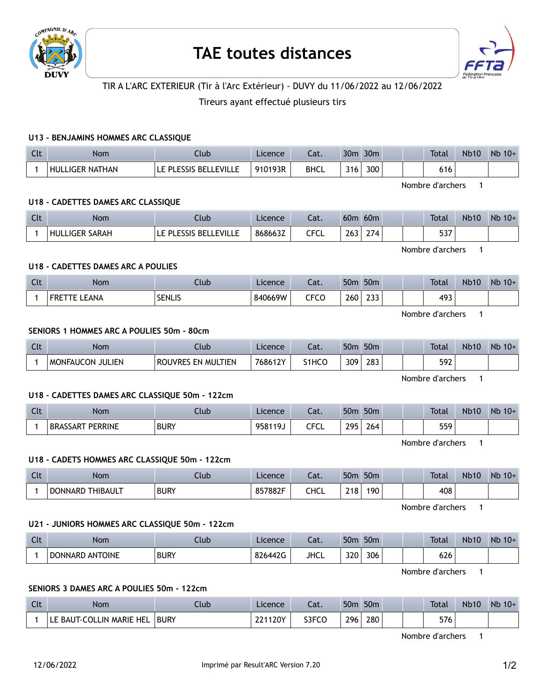



# TIR A L'ARC EXTERIEUR (Tir à l'Arc Extérieur) - DUVY du 11/06/2022 au 12/06/2022

## Tireurs ayant effectué plusieurs tirs

#### **U13 - BENJAMINS HOMMES ARC CLASSIQUE**

| Clt | <b>Nom</b>             | Llub                              | Licence | Cat. | 30 <sub>m</sub> | 30 <sub>m</sub> |  | <b>Total</b> | <b>Nb10</b> | Nb<br>$10+$ |
|-----|------------------------|-----------------------------------|---------|------|-----------------|-----------------|--|--------------|-------------|-------------|
|     | <b>HULLIGER NATHAN</b> | <b>'E PLESSIS BELL</b><br>_EVILLE | 910193R | BHCL | 316             | 300             |  | 616          |             |             |

Nombre d'archers 1

#### **U18 - CADETTES DAMES ARC CLASSIQUE**

| $C1+$<br>$\overline{\phantom{a}}$ | <b>Nom</b>          | .lub                        | Licence | - 11<br>cal. | 60 <sub>0</sub> | 60 <sub>m</sub> |  | <b>Total</b>  | <b>Nb10</b> | Nb<br>$10+$ |
|-----------------------------------|---------------------|-----------------------------|---------|--------------|-----------------|-----------------|--|---------------|-------------|-------------|
|                                   | HULL<br>LIGER SARAH | _EVILLE<br><b>BEI</b><br>ום | 868663Z | CECI<br>ິ    | $\sim$<br>263   | $\sim$ $-$      |  | $-2-$<br>، ر. |             |             |

Nombre d'archers 1

## **U18 - CADETTES DAMES ARC A POULIES**

| Clt | <b>Nom</b>    | .lub.         | Licence | Cat. | 50 <sub>m</sub> | 50 <sub>m</sub> |  | <b>Total</b> | <b>Nb10</b> | Nb<br>$10+$ |
|-----|---------------|---------------|---------|------|-----------------|-----------------|--|--------------|-------------|-------------|
|     | LEANA<br>FRE. | <b>SENLIS</b> | 840669W | CFCO | 260             | 233             |  | 493          |             |             |

Nombre d'archers 1

#### **SENIORS 1 HOMMES ARC A POULIES 50m - 80cm**

| $\sim$<br>$\sim$ . | <b>Nom</b>                 | Jlub                                          | Licence        | $\sim$<br>-aι. | 50 <sub>m</sub> | 50 <sub>m</sub> |  | <b>Total</b> | <b>Nb10</b> | Nb<br>$10+$ |
|--------------------|----------------------------|-----------------------------------------------|----------------|----------------|-----------------|-----------------|--|--------------|-------------|-------------|
|                    | JULIEN<br><b>MONFAUCON</b> | <b>TIEN</b><br>` EN MUL.<br>RO<br><b>IVRF</b> | 12V<br>768612. | S1HCO          | 309             | 283             |  | 592          |             |             |

Nombre d'archers 1

## **U18 - CADETTES DAMES ARC CLASSIQUE 50m - 122cm**

| $\sim$<br><b>LIL</b> | Nom                                  | Club        | Licence       | $\sim$<br>cal.            | 50 <sub>n</sub>             | 50 <sub>m</sub> |  | <b>Total</b> | <b>Nb10</b> | <b>N<sub>b</sub></b><br>$10+$ |
|----------------------|--------------------------------------|-------------|---------------|---------------------------|-----------------------------|-----------------|--|--------------|-------------|-------------------------------|
|                      | <b>PERRINE</b><br><b>BRAS</b><br>NA⊬ | <b>BURY</b> | ້ 19.<br>9581 | $\sim$ $\sim$ $\sim$<br>ິ | 295<br>$\sim$ $\sim$ $\sim$ | 264             |  | 550<br>JJ /  |             |                               |

Nombre d'archers 1

#### **U18 - CADETS HOMMES ARC CLASSIQUE 50m - 122cm**

| $\sim$<br>しいし | Nom                               | .lub        | Licence | $\sim$<br>cal. | 50 <sub>m</sub> | 50 <sub>m</sub> |  | <b>Total</b> | <b>Nb10</b> | <b>N<sub>b</sub></b><br>$10+$ |
|---------------|-----------------------------------|-------------|---------|----------------|-----------------|-----------------|--|--------------|-------------|-------------------------------|
|               | <b>THIBAULT</b><br><b>DONNARD</b> | <b>BURY</b> | 857882F | CHCL           | 218             | 190,            |  | 408          |             |                               |

Nombre d'archers 1

#### **U21 - JUNIORS HOMMES ARC CLASSIQUE 50m - 122cm**

| C14<br>ิ | Nom             | Ilub        | Licence | Cat.        | 50 <sub>m</sub> | 50 <sub>m</sub> |  | Total | <b>Nb10</b> | Nb<br>$10+$ |
|----------|-----------------|-------------|---------|-------------|-----------------|-----------------|--|-------|-------------|-------------|
|          | DONNARD ANTOINE | <b>BURY</b> | 826442G | <b>JHCL</b> | 320             | 306             |  | 626   |             |             |

Nombre d'archers 1

#### **SENIORS 3 DAMES ARC A POULIES 50m - 122cm**

| $\sim$<br><b>LIL</b> | Nom                     | Ilub        | Licence | $\sim$<br>Jau. | 50 <sub>m</sub> | 50 <sub>m</sub>  |  | <b>Total</b> | <b>Nb10</b> | $Nb$ 10+ |
|----------------------|-------------------------|-------------|---------|----------------|-----------------|------------------|--|--------------|-------------|----------|
|                      | E BAUT-COLLIN MARIE HEL | <b>BURY</b> | 221120Y | S3FCO          | 296             | 280 <sub>1</sub> |  | 576          |             |          |